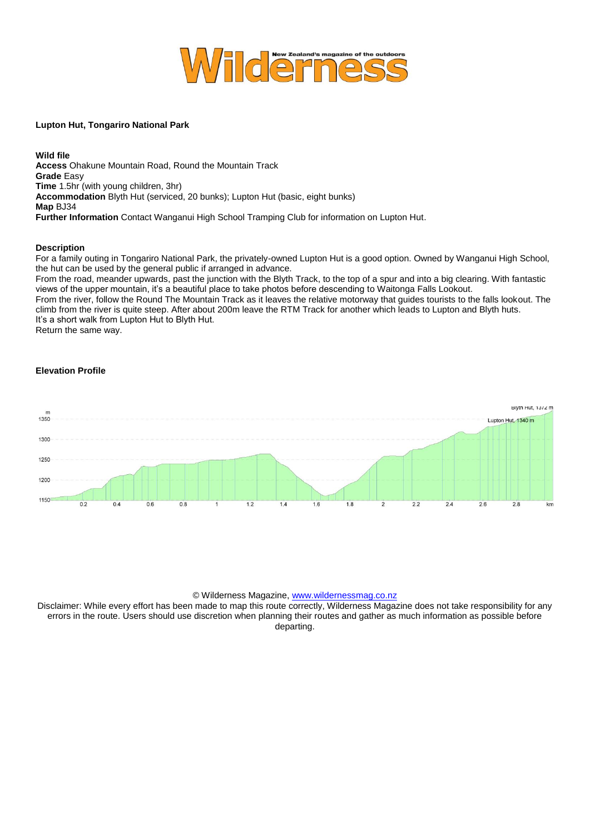

## **Lupton Hut, Tongariro National Park**

**Wild file Access** Ohakune Mountain Road, Round the Mountain Track **Grade** Easy **Time** 1.5hr (with young children, 3hr) **Accommodation** Blyth Hut (serviced, 20 bunks); Lupton Hut (basic, eight bunks) **Map** BJ34 **Further Information** Contact Wanganui High School Tramping Club for information on Lupton Hut.

## **Description**

For a family outing in Tongariro National Park, the privately-owned Lupton Hut is a good option. Owned by Wanganui High School, the hut can be used by the general public if arranged in advance.

From the road, meander upwards, past the junction with the Blyth Track, to the top of a spur and into a big clearing. With fantastic views of the upper mountain, it's a beautiful place to take photos before descending to Waitonga Falls Lookout.

From the river, follow the Round The Mountain Track as it leaves the relative motorway that guides tourists to the falls lookout. The climb from the river is quite steep. After about 200m leave the RTM Track for another which leads to Lupton and Blyth huts. It's a short walk from Lupton Hut to Blyth Hut.

Return the same way.

## **Elevation Profile**



## © Wilderness Magazine[, www.wildernessmag.co.nz](http://www.wildernessmag.co.nz/)

Disclaimer: While every effort has been made to map this route correctly, Wilderness Magazine does not take responsibility for any errors in the route. Users should use discretion when planning their routes and gather as much information as possible before departing.